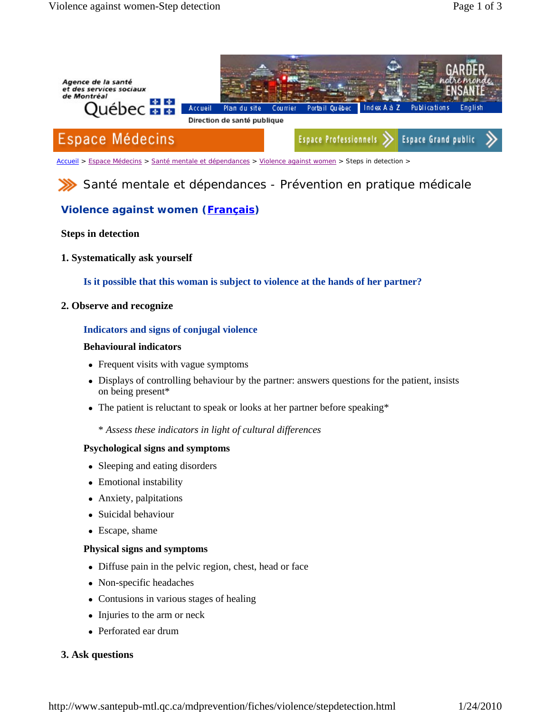

Accueil > Espace Médecins > Santé mentale et dépendances > Violence against women > Steps in detection >

Santé mentale et dépendances - Prévention en pratique médicale

# **Violence against women (Français)**

### **Steps in detection**

**1. Systematically ask yourself** 

**Is it possible that this woman is subject to violence at the hands of her partner?** 

**2. Observe and recognize** 

#### **Indicators and signs of conjugal violence**

#### **Behavioural indicators**

- Frequent visits with vague symptoms
- Displays of controlling behaviour by the partner: answers questions for the patient, insists on being present\*
- The patient is reluctant to speak or looks at her partner before speaking\*

\* *Assess these indicators in light of cultural differences*

#### **Psychological signs and symptoms**

- Sleeping and eating disorders
- Emotional instability
- Anxiety, palpitations
- Suicidal behaviour
- Escape, shame

#### **Physical signs and symptoms**

- Diffuse pain in the pelvic region, chest, head or face
- Non-specific headaches
- Contusions in various stages of healing
- Injuries to the arm or neck
- Perforated ear drum

### **3. Ask questions**

http://www.santepub-mtl.qc.ca/mdprevention/fiches/violence/stepdetection.html 1/24/2010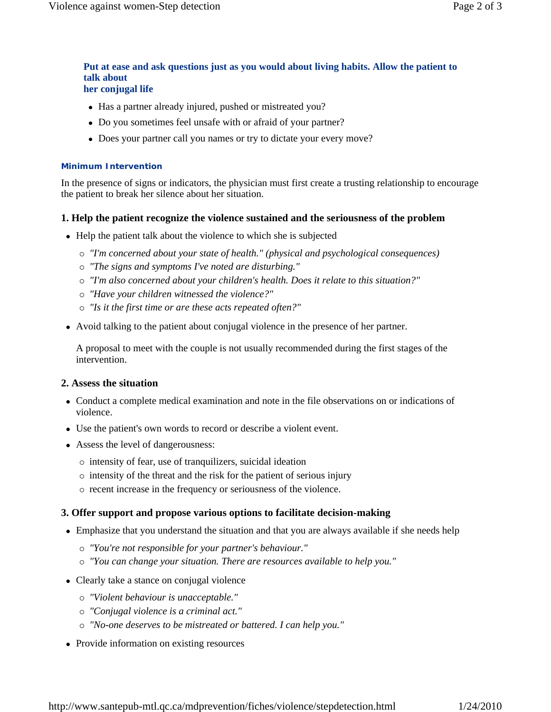#### **Put at ease and ask questions just as you would about living habits. Allow the patient to talk about her conjugal life**

- Has a partner already injured, pushed or mistreated you?
- Do you sometimes feel unsafe with or afraid of your partner?
- Does your partner call you names or try to dictate your every move?

#### **Minimum Intervention**

In the presence of signs or indicators, the physician must first create a trusting relationship to encourage the patient to break her silence about her situation.

## **1. Help the patient recognize the violence sustained and the seriousness of the problem**

- Help the patient talk about the violence to which she is subjected
	- { *"I'm concerned about your state of health." (physical and psychological consequences)*
	- { *"The signs and symptoms I've noted are disturbing."*
	- { *"I'm also concerned about your children's health. Does it relate to this situation?"*
	- { *"Have your children witnessed the violence?"*
	- { *"Is it the first time or are these acts repeated often?"*
- Avoid talking to the patient about conjugal violence in the presence of her partner.

A proposal to meet with the couple is not usually recommended during the first stages of the intervention.

## **2. Assess the situation**

- Conduct a complete medical examination and note in the file observations on or indications of violence.
- Use the patient's own words to record or describe a violent event.
- Assess the level of dangerousness:
	- $\circ$  intensity of fear, use of tranquilizers, suicidal ideation
	- { intensity of the threat and the risk for the patient of serious injury
	- $\circ$  recent increase in the frequency or seriousness of the violence.

### **3. Offer support and propose various options to facilitate decision-making**

- Emphasize that you understand the situation and that you are always available if she needs help
	- { *"You're not responsible for your partner's behaviour."*
	- { *"You can change your situation. There are resources available to help you."*
- Clearly take a stance on conjugal violence
	- { *"Violent behaviour is unacceptable."*
	- { *"Conjugal violence is a criminal act."*
	- { *"No-one deserves to be mistreated or battered. I can help you."*
- Provide information on existing resources

http://www.santepub-mtl.qc.ca/mdprevention/fiches/violence/stepdetection.html 1/24/2010